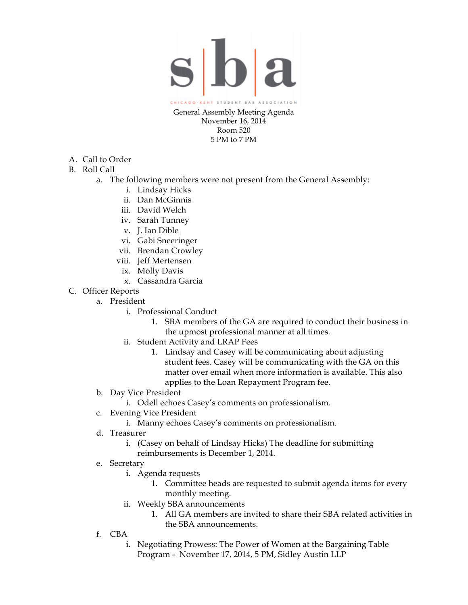

Room 520 5 PM to 7 PM

- A. Call to Order
- B. Roll Call
	- a. The following members were not present from the General Assembly:
		- i. Lindsay Hicks
		- ii. Dan McGinnis
		- iii. David Welch
		- iv. Sarah Tunney
		- v. J. Ian Dible
		- vi. Gabi Sneeringer
		- vii. Brendan Crowley
		- viii. Jeff Mertensen
			- ix. Molly Davis
			- x. Cassandra Garcia
- C. Officer Reports
	- a. President
		- i. Professional Conduct
			- 1. SBA members of the GA are required to conduct their business in the upmost professional manner at all times.
		- ii. Student Activity and LRAP Fees
			- 1. Lindsay and Casey will be communicating about adjusting student fees. Casey will be communicating with the GA on this matter over email when more information is available. This also applies to the Loan Repayment Program fee.
	- b. Day Vice President
		- i. Odell echoes Casey's comments on professionalism.
	- c. Evening Vice President
		- i. Manny echoes Casey's comments on professionalism.
	- d. Treasurer
		- i. (Casey on behalf of Lindsay Hicks) The deadline for submitting
			- reimbursements is December 1, 2014.
	- e. Secretary
		- i. Agenda requests
			- 1. Committee heads are requested to submit agenda items for every monthly meeting.
		- ii. Weekly SBA announcements
			- 1. All GA members are invited to share their SBA related activities in the SBA announcements.
	- f. CBA
		- i. Negotiating Prowess: The Power of Women at the Bargaining Table Program - November 17, 2014, 5 PM, Sidley Austin LLP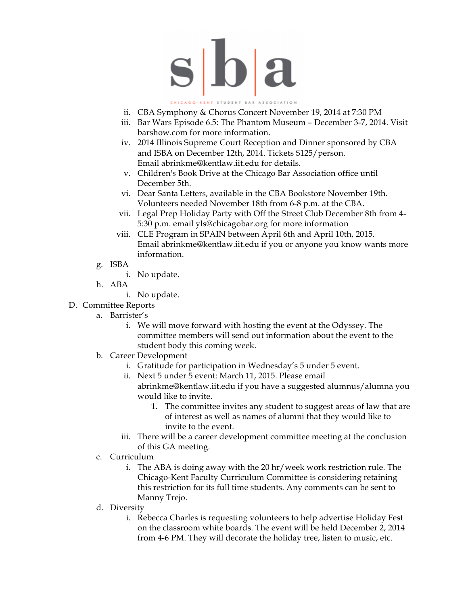

## CAGO-KENT STUDENT BAR ASSOCIATION

- ii. CBA Symphony & Chorus Concert November 19, 2014 at 7:30 PM
- iii. Bar Wars Episode 6.5: The Phantom Museum December 3-7, 2014. Visit barshow.com for more information.
- iv. 2014 Illinois Supreme Court Reception and Dinner sponsored by CBA and ISBA on December 12th, 2014. Tickets \$125/person. Email abrinkme@kentlaw.iit.edu for details.
- v. Children's Book Drive at the Chicago Bar Association office until December 5th.
- vi. Dear Santa Letters, available in the CBA Bookstore November 19th. Volunteers needed November 18th from 6-8 p.m. at the CBA.
- vii. Legal Prep Holiday Party with Off the Street Club December 8th from 4- 5:30 p.m. email yls@chicagobar.org for more information
- viii. CLE Program in SPAIN between April 6th and April 10th, 2015. Email abrinkme@kentlaw.iit.edu if you or anyone you know wants more information.
- g. ISBA
	- i. No update.
- h. ABA
	- i. No update.
- D. Committee Reports
	- a. Barrister's
		- i. We will move forward with hosting the event at the Odyssey. The committee members will send out information about the event to the student body this coming week.
	- b. Career Development
		- i. Gratitude for participation in Wednesday's 5 under 5 event.
		- ii. Next 5 under 5 event: March 11, 2015. Please email abrinkme@kentlaw.iit.edu if you have a suggested alumnus/alumna you would like to invite.
			- 1. The committee invites any student to suggest areas of law that are of interest as well as names of alumni that they would like to invite to the event.
		- iii. There will be a career development committee meeting at the conclusion of this GA meeting.
	- c. Curriculum
		- i. The ABA is doing away with the 20 hr/week work restriction rule. The Chicago-Kent Faculty Curriculum Committee is considering retaining this restriction for its full time students. Any comments can be sent to Manny Trejo.
	- d. Diversity
		- i. Rebecca Charles is requesting volunteers to help advertise Holiday Fest on the classroom white boards. The event will be held December 2, 2014 from 4-6 PM. They will decorate the holiday tree, listen to music, etc.